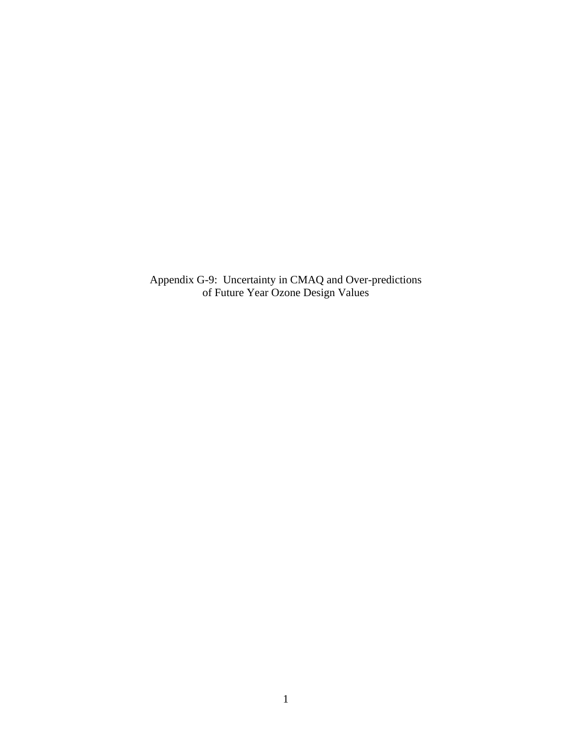Appendix G-9: Uncertainty in CMAQ and Over-predictions of Future Year Ozone Design Values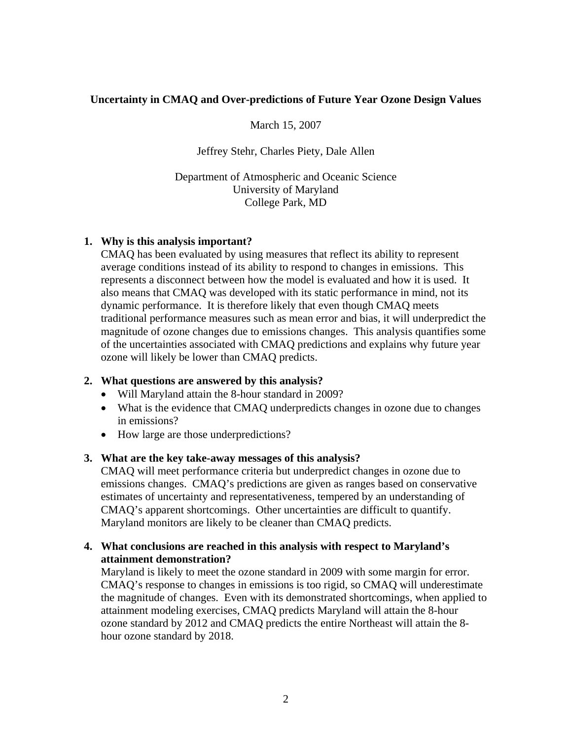# **Uncertainty in CMAQ and Over-predictions of Future Year Ozone Design Values**

March 15, 2007

Jeffrey Stehr, Charles Piety, Dale Allen

Department of Atmospheric and Oceanic Science University of Maryland College Park, MD

# **1. Why is this analysis important?**

 CMAQ has been evaluated by using measures that reflect its ability to represent average conditions instead of its ability to respond to changes in emissions. This represents a disconnect between how the model is evaluated and how it is used. It also means that CMAQ was developed with its static performance in mind, not its dynamic performance. It is therefore likely that even though CMAQ meets traditional performance measures such as mean error and bias, it will underpredict the magnitude of ozone changes due to emissions changes. This analysis quantifies some of the uncertainties associated with CMAQ predictions and explains why future year ozone will likely be lower than CMAQ predicts.

## **2. What questions are answered by this analysis?**

- Will Maryland attain the 8-hour standard in 2009?
- What is the evidence that CMAQ underpredicts changes in ozone due to changes in emissions?
- How large are those underpredictions?

## **3. What are the key take-away messages of this analysis?**

CMAQ will meet performance criteria but underpredict changes in ozone due to emissions changes. CMAQ's predictions are given as ranges based on conservative estimates of uncertainty and representativeness, tempered by an understanding of CMAQ's apparent shortcomings. Other uncertainties are difficult to quantify. Maryland monitors are likely to be cleaner than CMAQ predicts.

# **4. What conclusions are reached in this analysis with respect to Maryland's attainment demonstration?**

Maryland is likely to meet the ozone standard in 2009 with some margin for error. CMAQ's response to changes in emissions is too rigid, so CMAQ will underestimate the magnitude of changes. Even with its demonstrated shortcomings, when applied to attainment modeling exercises, CMAQ predicts Maryland will attain the 8-hour ozone standard by 2012 and CMAQ predicts the entire Northeast will attain the 8 hour ozone standard by 2018.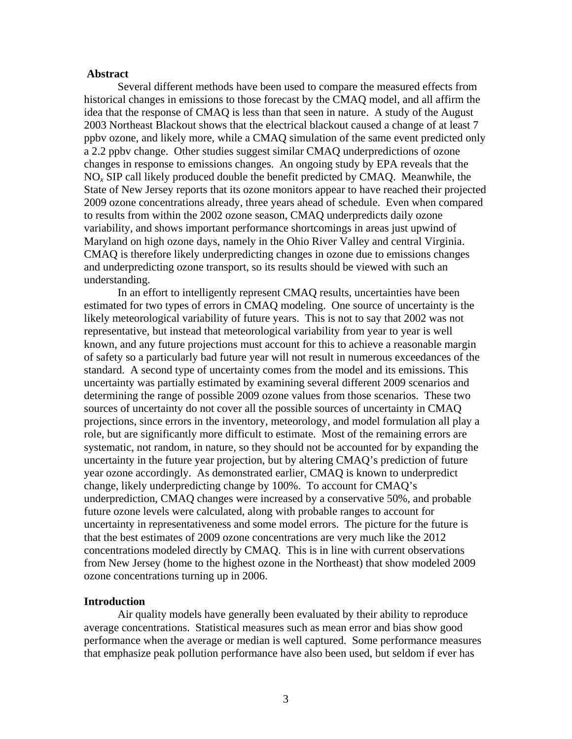### **Abstract**

Several different methods have been used to compare the measured effects from historical changes in emissions to those forecast by the CMAQ model, and all affirm the idea that the response of CMAQ is less than that seen in nature. A study of the August 2003 Northeast Blackout shows that the electrical blackout caused a change of at least 7 ppbv ozone, and likely more, while a CMAQ simulation of the same event predicted only a 2.2 ppbv change. Other studies suggest similar CMAQ underpredictions of ozone changes in response to emissions changes. An ongoing study by EPA reveals that the NO*x* SIP call likely produced double the benefit predicted by CMAQ. Meanwhile, the State of New Jersey reports that its ozone monitors appear to have reached their projected 2009 ozone concentrations already, three years ahead of schedule. Even when compared to results from within the 2002 ozone season, CMAQ underpredicts daily ozone variability, and shows important performance shortcomings in areas just upwind of Maryland on high ozone days, namely in the Ohio River Valley and central Virginia. CMAQ is therefore likely underpredicting changes in ozone due to emissions changes and underpredicting ozone transport, so its results should be viewed with such an understanding.

In an effort to intelligently represent CMAQ results, uncertainties have been estimated for two types of errors in CMAQ modeling. One source of uncertainty is the likely meteorological variability of future years. This is not to say that 2002 was not representative, but instead that meteorological variability from year to year is well known, and any future projections must account for this to achieve a reasonable margin of safety so a particularly bad future year will not result in numerous exceedances of the standard. A second type of uncertainty comes from the model and its emissions. This uncertainty was partially estimated by examining several different 2009 scenarios and determining the range of possible 2009 ozone values from those scenarios. These two sources of uncertainty do not cover all the possible sources of uncertainty in CMAQ projections, since errors in the inventory, meteorology, and model formulation all play a role, but are significantly more difficult to estimate. Most of the remaining errors are systematic, not random, in nature, so they should not be accounted for by expanding the uncertainty in the future year projection, but by altering CMAQ's prediction of future year ozone accordingly. As demonstrated earlier, CMAQ is known to underpredict change, likely underpredicting change by 100%. To account for CMAQ's underprediction, CMAQ changes were increased by a conservative 50%, and probable future ozone levels were calculated, along with probable ranges to account for uncertainty in representativeness and some model errors. The picture for the future is that the best estimates of 2009 ozone concentrations are very much like the 2012 concentrations modeled directly by CMAQ. This is in line with current observations from New Jersey (home to the highest ozone in the Northeast) that show modeled 2009 ozone concentrations turning up in 2006.

### **Introduction**

Air quality models have generally been evaluated by their ability to reproduce average concentrations. Statistical measures such as mean error and bias show good performance when the average or median is well captured. Some performance measures that emphasize peak pollution performance have also been used, but seldom if ever has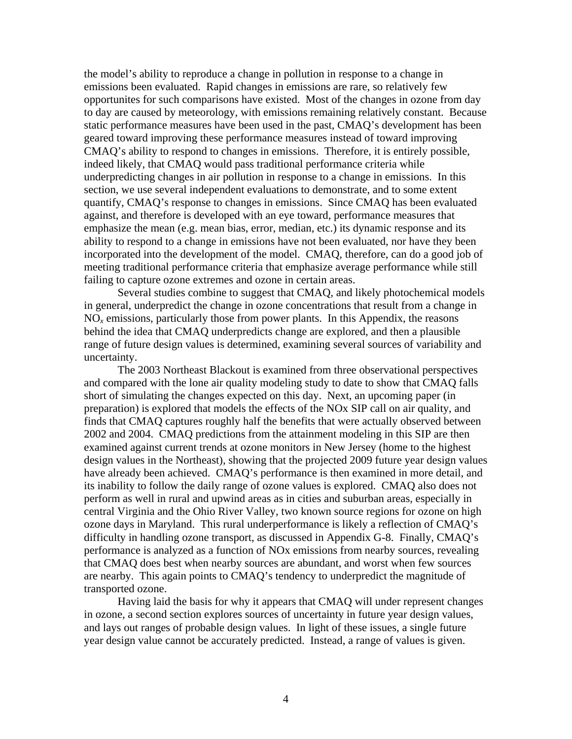the model's ability to reproduce a change in pollution in response to a change in emissions been evaluated. Rapid changes in emissions are rare, so relatively few opportunites for such comparisons have existed. Most of the changes in ozone from day to day are caused by meteorology, with emissions remaining relatively constant. Because static performance measures have been used in the past, CMAQ's development has been geared toward improving these performance measures instead of toward improving CMAQ's ability to respond to changes in emissions. Therefore, it is entirely possible, indeed likely, that CMAQ would pass traditional performance criteria while underpredicting changes in air pollution in response to a change in emissions. In this section, we use several independent evaluations to demonstrate, and to some extent quantify, CMAQ's response to changes in emissions. Since CMAQ has been evaluated against, and therefore is developed with an eye toward, performance measures that emphasize the mean (e.g. mean bias, error, median, etc.) its dynamic response and its ability to respond to a change in emissions have not been evaluated, nor have they been incorporated into the development of the model. CMAQ, therefore, can do a good job of meeting traditional performance criteria that emphasize average performance while still failing to capture ozone extremes and ozone in certain areas.

Several studies combine to suggest that CMAQ, and likely photochemical models in general, underpredict the change in ozone concentrations that result from a change in  $NO<sub>x</sub>$  emissions, particularly those from power plants. In this Appendix, the reasons behind the idea that CMAQ underpredicts change are explored, and then a plausible range of future design values is determined, examining several sources of variability and uncertainty.

The 2003 Northeast Blackout is examined from three observational perspectives and compared with the lone air quality modeling study to date to show that CMAQ falls short of simulating the changes expected on this day. Next, an upcoming paper (in preparation) is explored that models the effects of the NOx SIP call on air quality, and finds that CMAQ captures roughly half the benefits that were actually observed between 2002 and 2004. CMAQ predictions from the attainment modeling in this SIP are then examined against current trends at ozone monitors in New Jersey (home to the highest design values in the Northeast), showing that the projected 2009 future year design values have already been achieved. CMAQ's performance is then examined in more detail, and its inability to follow the daily range of ozone values is explored. CMAQ also does not perform as well in rural and upwind areas as in cities and suburban areas, especially in central Virginia and the Ohio River Valley, two known source regions for ozone on high ozone days in Maryland. This rural underperformance is likely a reflection of CMAQ's difficulty in handling ozone transport, as discussed in Appendix G-8. Finally, CMAQ's performance is analyzed as a function of NOx emissions from nearby sources, revealing that CMAQ does best when nearby sources are abundant, and worst when few sources are nearby. This again points to CMAQ's tendency to underpredict the magnitude of transported ozone.

Having laid the basis for why it appears that CMAQ will under represent changes in ozone, a second section explores sources of uncertainty in future year design values, and lays out ranges of probable design values. In light of these issues, a single future year design value cannot be accurately predicted. Instead, a range of values is given.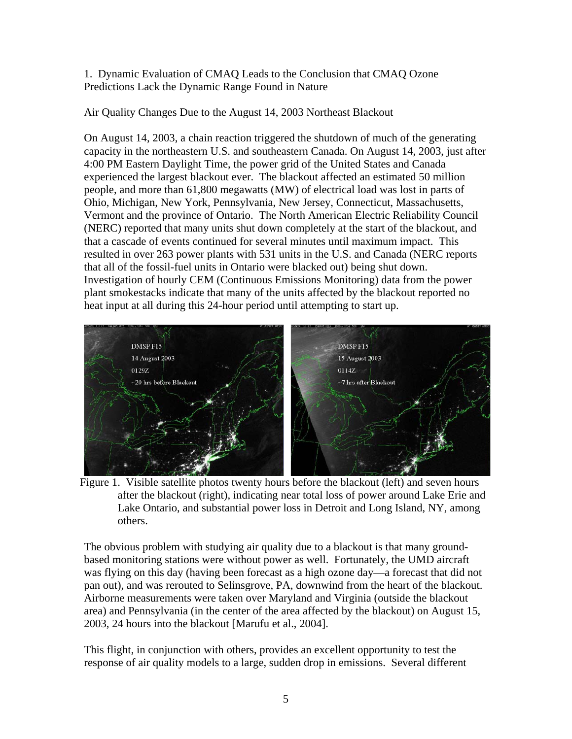1. Dynamic Evaluation of CMAQ Leads to the Conclusion that CMAQ Ozone Predictions Lack the Dynamic Range Found in Nature

Air Quality Changes Due to the August 14, 2003 Northeast Blackout

On August 14, 2003, a chain reaction triggered the shutdown of much of the generating capacity in the northeastern U.S. and southeastern Canada. On August 14, 2003, just after 4:00 PM Eastern Daylight Time, the power grid of the United States and Canada experienced the largest blackout ever. The blackout affected an estimated 50 million people, and more than 61,800 megawatts (MW) of electrical load was lost in parts of Ohio, Michigan, New York, Pennsylvania, New Jersey, Connecticut, Massachusetts, Vermont and the province of Ontario. The North American Electric Reliability Council (NERC) reported that many units shut down completely at the start of the blackout, and that a cascade of events continued for several minutes until maximum impact. This resulted in over 263 power plants with 531 units in the U.S. and Canada (NERC reports that all of the fossil-fuel units in Ontario were blacked out) being shut down. Investigation of hourly CEM (Continuous Emissions Monitoring) data from the power plant smokestacks indicate that many of the units affected by the blackout reported no heat input at all during this 24-hour period until attempting to start up.



Figure 1. Visible satellite photos twenty hours before the blackout (left) and seven hours after the blackout (right), indicating near total loss of power around Lake Erie and Lake Ontario, and substantial power loss in Detroit and Long Island, NY, among others.

The obvious problem with studying air quality due to a blackout is that many groundbased monitoring stations were without power as well. Fortunately, the UMD aircraft was flying on this day (having been forecast as a high ozone day—a forecast that did not pan out), and was rerouted to Selinsgrove, PA, downwind from the heart of the blackout. Airborne measurements were taken over Maryland and Virginia (outside the blackout area) and Pennsylvania (in the center of the area affected by the blackout) on August 15, 2003, 24 hours into the blackout [Marufu et al., 2004].

This flight, in conjunction with others, provides an excellent opportunity to test the response of air quality models to a large, sudden drop in emissions. Several different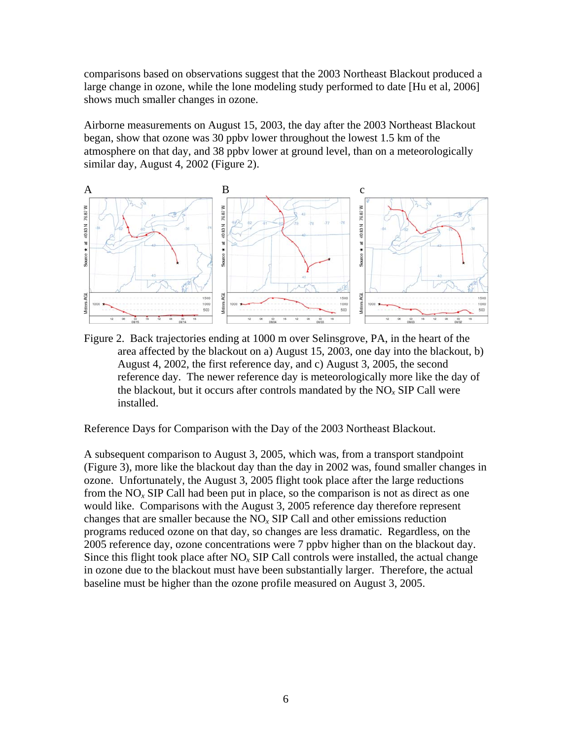comparisons based on observations suggest that the 2003 Northeast Blackout produced a large change in ozone, while the lone modeling study performed to date [Hu et al, 2006] shows much smaller changes in ozone.

Airborne measurements on August 15, 2003, the day after the 2003 Northeast Blackout began, show that ozone was 30 ppbv lower throughout the lowest 1.5 km of the atmosphere on that day, and 38 ppbv lower at ground level, than on a meteorologically similar day, August 4, 2002 (Figure 2).



Figure 2. Back trajectories ending at 1000 m over Selinsgrove, PA, in the heart of the area affected by the blackout on a) August 15, 2003, one day into the blackout, b) August 4, 2002, the first reference day, and c) August 3, 2005, the second reference day. The newer reference day is meteorologically more like the day of the blackout, but it occurs after controls mandated by the NO*x* SIP Call were installed.

Reference Days for Comparison with the Day of the 2003 Northeast Blackout.

A subsequent comparison to August 3, 2005, which was, from a transport standpoint (Figure 3), more like the blackout day than the day in 2002 was, found smaller changes in ozone. Unfortunately, the August 3, 2005 flight took place after the large reductions from the NO*x* SIP Call had been put in place, so the comparison is not as direct as one would like. Comparisons with the August 3, 2005 reference day therefore represent changes that are smaller because the NO*x* SIP Call and other emissions reduction programs reduced ozone on that day, so changes are less dramatic. Regardless, on the 2005 reference day, ozone concentrations were 7 ppbv higher than on the blackout day. Since this flight took place after  $NO<sub>x</sub>$  SIP Call controls were installed, the actual change in ozone due to the blackout must have been substantially larger. Therefore, the actual baseline must be higher than the ozone profile measured on August 3, 2005.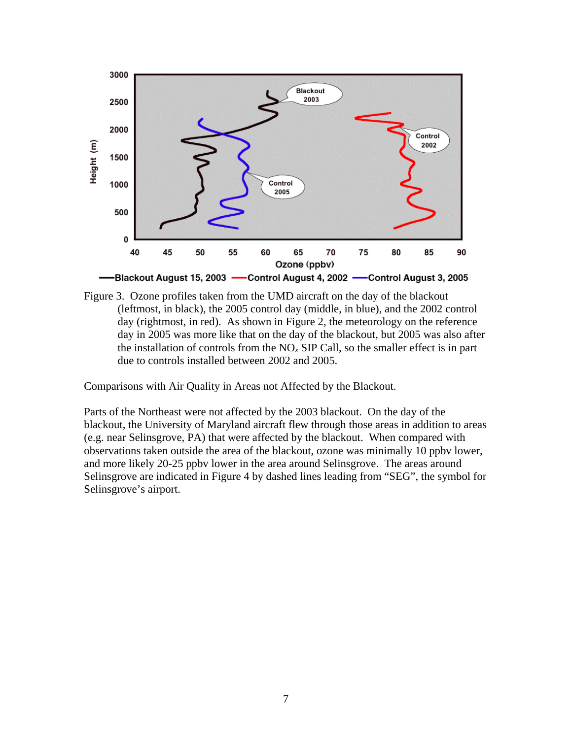



Comparisons with Air Quality in Areas not Affected by the Blackout.

Parts of the Northeast were not affected by the 2003 blackout. On the day of the blackout, the University of Maryland aircraft flew through those areas in addition to areas (e.g. near Selinsgrove, PA) that were affected by the blackout. When compared with observations taken outside the area of the blackout, ozone was minimally 10 ppbv lower, and more likely 20-25 ppbv lower in the area around Selinsgrove. The areas around Selinsgrove are indicated in Figure 4 by dashed lines leading from "SEG", the symbol for Selinsgrove's airport.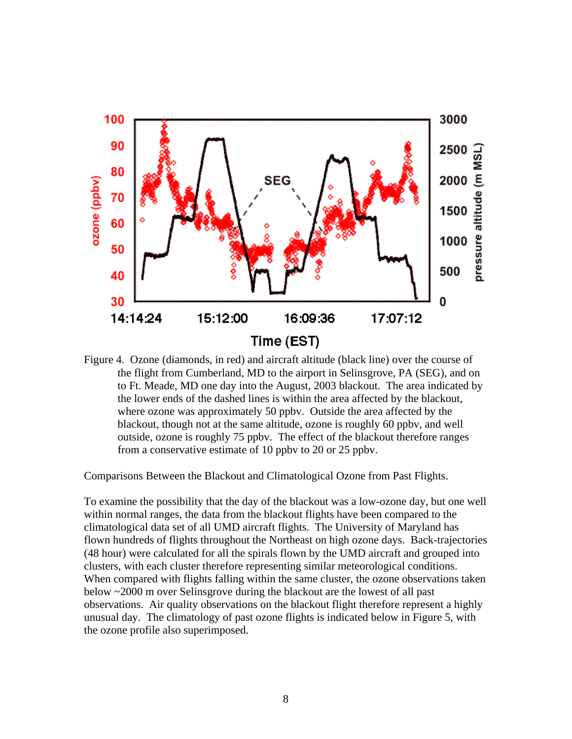

Figure 4. Ozone (diamonds, in red) and aircraft altitude (black line) over the course of the flight from Cumberland, MD to the airport in Selinsgrove, PA (SEG), and on to Ft. Meade, MD one day into the August, 2003 blackout. The area indicated by the lower ends of the dashed lines is within the area affected by the blackout, where ozone was approximately 50 ppbv. Outside the area affected by the blackout, though not at the same altitude, ozone is roughly 60 ppbv, and well outside, ozone is roughly 75 ppbv. The effect of the blackout therefore ranges from a conservative estimate of 10 ppbv to 20 or 25 ppbv.

Comparisons Between the Blackout and Climatological Ozone from Past Flights.

To examine the possibility that the day of the blackout was a low-ozone day, but one well within normal ranges, the data from the blackout flights have been compared to the climatological data set of all UMD aircraft flights. The University of Maryland has flown hundreds of flights throughout the Northeast on high ozone days. Back-trajectories (48 hour) were calculated for all the spirals flown by the UMD aircraft and grouped into clusters, with each cluster therefore representing similar meteorological conditions. When compared with flights falling within the same cluster, the ozone observations taken below ~2000 m over Selinsgrove during the blackout are the lowest of all past observations. Air quality observations on the blackout flight therefore represent a highly unusual day. The climatology of past ozone flights is indicated below in Figure 5, with the ozone profile also superimposed.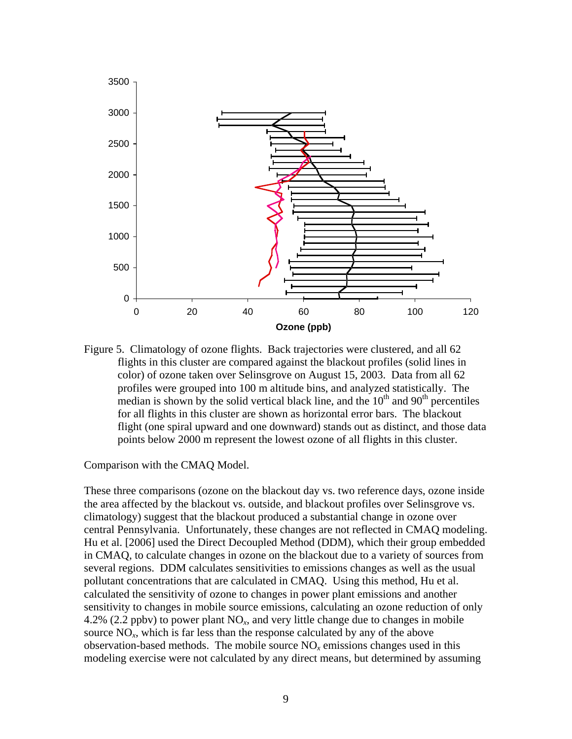

Figure 5. Climatology of ozone flights. Back trajectories were clustered, and all 62 flights in this cluster are compared against the blackout profiles (solid lines in color) of ozone taken over Selinsgrove on August 15, 2003. Data from all 62 profiles were grouped into 100 m altitude bins, and analyzed statistically. The median is shown by the solid vertical black line, and the  $10<sup>th</sup>$  and  $90<sup>th</sup>$  percentiles for all flights in this cluster are shown as horizontal error bars. The blackout flight (one spiral upward and one downward) stands out as distinct, and those data points below 2000 m represent the lowest ozone of all flights in this cluster.

Comparison with the CMAQ Model.

These three comparisons (ozone on the blackout day vs. two reference days, ozone inside the area affected by the blackout vs. outside, and blackout profiles over Selinsgrove vs. climatology) suggest that the blackout produced a substantial change in ozone over central Pennsylvania. Unfortunately, these changes are not reflected in CMAQ modeling. Hu et al. [2006] used the Direct Decoupled Method (DDM), which their group embedded in CMAQ, to calculate changes in ozone on the blackout due to a variety of sources from several regions. DDM calculates sensitivities to emissions changes as well as the usual pollutant concentrations that are calculated in CMAQ. Using this method, Hu et al. calculated the sensitivity of ozone to changes in power plant emissions and another sensitivity to changes in mobile source emissions, calculating an ozone reduction of only 4.2% (2.2 ppbv) to power plant NO*x*, and very little change due to changes in mobile source  $NO<sub>x</sub>$ , which is far less than the response calculated by any of the above observation-based methods. The mobile source  $NO<sub>x</sub>$  emissions changes used in this modeling exercise were not calculated by any direct means, but determined by assuming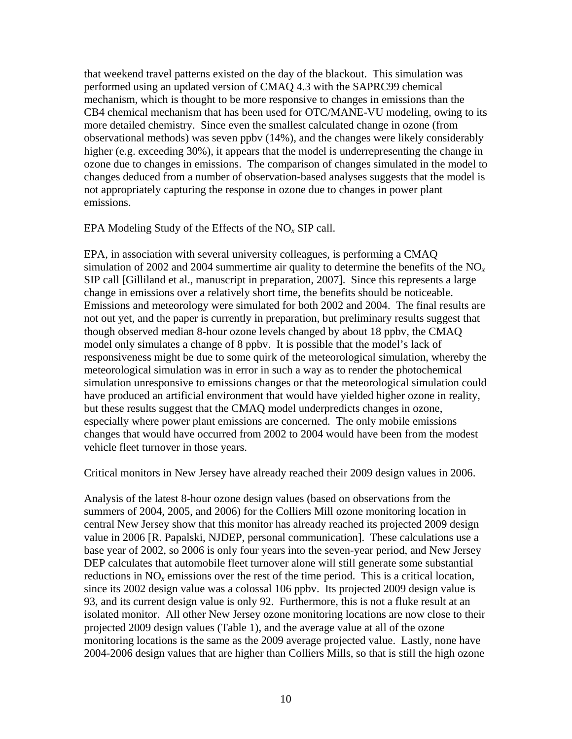that weekend travel patterns existed on the day of the blackout. This simulation was performed using an updated version of CMAQ 4.3 with the SAPRC99 chemical mechanism, which is thought to be more responsive to changes in emissions than the CB4 chemical mechanism that has been used for OTC/MANE-VU modeling, owing to its more detailed chemistry. Since even the smallest calculated change in ozone (from observational methods) was seven ppbv (14%), and the changes were likely considerably higher (e.g. exceeding 30%), it appears that the model is underrepresenting the change in ozone due to changes in emissions. The comparison of changes simulated in the model to changes deduced from a number of observation-based analyses suggests that the model is not appropriately capturing the response in ozone due to changes in power plant emissions.

EPA Modeling Study of the Effects of the NO*x* SIP call.

EPA, in association with several university colleagues, is performing a CMAQ simulation of 2002 and 2004 summertime air quality to determine the benefits of the  $NO<sub>x</sub>$ SIP call [Gilliland et al., manuscript in preparation, 2007]. Since this represents a large change in emissions over a relatively short time, the benefits should be noticeable. Emissions and meteorology were simulated for both 2002 and 2004. The final results are not out yet, and the paper is currently in preparation, but preliminary results suggest that though observed median 8-hour ozone levels changed by about 18 ppbv, the CMAQ model only simulates a change of 8 ppbv. It is possible that the model's lack of responsiveness might be due to some quirk of the meteorological simulation, whereby the meteorological simulation was in error in such a way as to render the photochemical simulation unresponsive to emissions changes or that the meteorological simulation could have produced an artificial environment that would have yielded higher ozone in reality, but these results suggest that the CMAQ model underpredicts changes in ozone, especially where power plant emissions are concerned. The only mobile emissions changes that would have occurred from 2002 to 2004 would have been from the modest vehicle fleet turnover in those years.

Critical monitors in New Jersey have already reached their 2009 design values in 2006.

Analysis of the latest 8-hour ozone design values (based on observations from the summers of 2004, 2005, and 2006) for the Colliers Mill ozone monitoring location in central New Jersey show that this monitor has already reached its projected 2009 design value in 2006 [R. Papalski, NJDEP, personal communication]. These calculations use a base year of 2002, so 2006 is only four years into the seven-year period, and New Jersey DEP calculates that automobile fleet turnover alone will still generate some substantial reductions in  $NO<sub>x</sub>$  emissions over the rest of the time period. This is a critical location, since its 2002 design value was a colossal 106 ppbv. Its projected 2009 design value is 93, and its current design value is only 92. Furthermore, this is not a fluke result at an isolated monitor. All other New Jersey ozone monitoring locations are now close to their projected 2009 design values (Table 1), and the average value at all of the ozone monitoring locations is the same as the 2009 average projected value. Lastly, none have 2004-2006 design values that are higher than Colliers Mills, so that is still the high ozone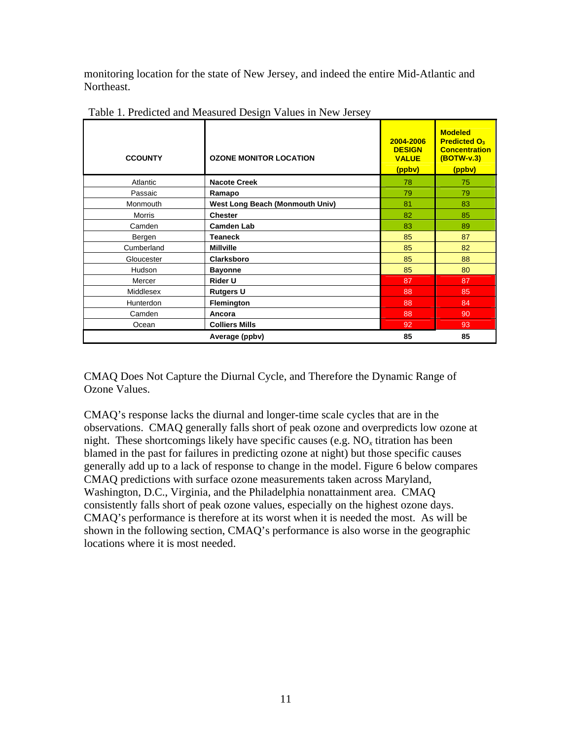monitoring location for the state of New Jersey, and indeed the entire Mid-Atlantic and Northeast.

| <b>CCOUNTY</b>   | <b>OZONE MONITOR LOCATION</b>          | 2004-2006<br><b>DESIGN</b><br><b>VALUE</b><br>(ppbv) | <b>Modeled</b><br><b>Predicted O<sub>3</sub></b><br><b>Concentration</b><br>(BOTW-v.3)<br>(ppbv) |
|------------------|----------------------------------------|------------------------------------------------------|--------------------------------------------------------------------------------------------------|
| Atlantic         | <b>Nacote Creek</b>                    | 78                                                   | 75                                                                                               |
| Passaic          | Ramapo                                 | 79                                                   | 79                                                                                               |
| Monmouth         | <b>West Long Beach (Monmouth Univ)</b> | 81                                                   | 83                                                                                               |
| Morris           | <b>Chester</b>                         | 82                                                   | 85                                                                                               |
| Camden           | <b>Camden Lab</b>                      | 83                                                   | 89                                                                                               |
| Bergen           | <b>Teaneck</b>                         | 85                                                   | 87                                                                                               |
| Cumberland       | <b>Millville</b>                       | 85                                                   | 82                                                                                               |
| Gloucester       | <b>Clarksboro</b>                      | 85                                                   | 88                                                                                               |
| Hudson           | <b>Bayonne</b>                         | 85                                                   | 80                                                                                               |
| Mercer           | <b>Rider U</b>                         | 87                                                   | 87                                                                                               |
| Middlesex        | <b>Rutgers U</b>                       | 88                                                   | 85                                                                                               |
| <b>Hunterdon</b> | <b>Flemington</b>                      | 88                                                   | 84                                                                                               |
| Camden           | Ancora                                 | 88                                                   | 90                                                                                               |
| Ocean            | <b>Colliers Mills</b>                  | 92                                                   | 93                                                                                               |
|                  | Average (ppbv)                         | 85                                                   | 85                                                                                               |

Table 1. Predicted and Measured Design Values in New Jersey

CMAQ Does Not Capture the Diurnal Cycle, and Therefore the Dynamic Range of Ozone Values.

CMAQ's response lacks the diurnal and longer-time scale cycles that are in the observations. CMAQ generally falls short of peak ozone and overpredicts low ozone at night. These shortcomings likely have specific causes (e.g.  $NO<sub>x</sub>$  titration has been blamed in the past for failures in predicting ozone at night) but those specific causes generally add up to a lack of response to change in the model. Figure 6 below compares CMAQ predictions with surface ozone measurements taken across Maryland, Washington, D.C., Virginia, and the Philadelphia nonattainment area. CMAQ consistently falls short of peak ozone values, especially on the highest ozone days. CMAQ's performance is therefore at its worst when it is needed the most. As will be shown in the following section, CMAQ's performance is also worse in the geographic locations where it is most needed.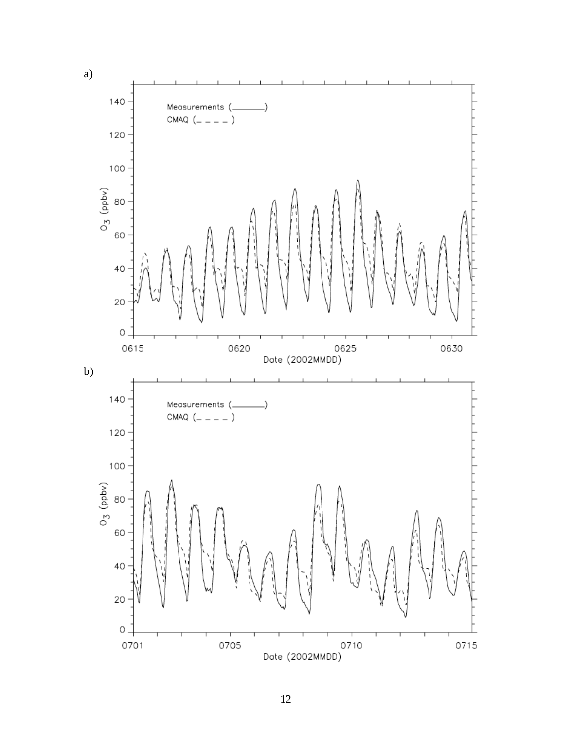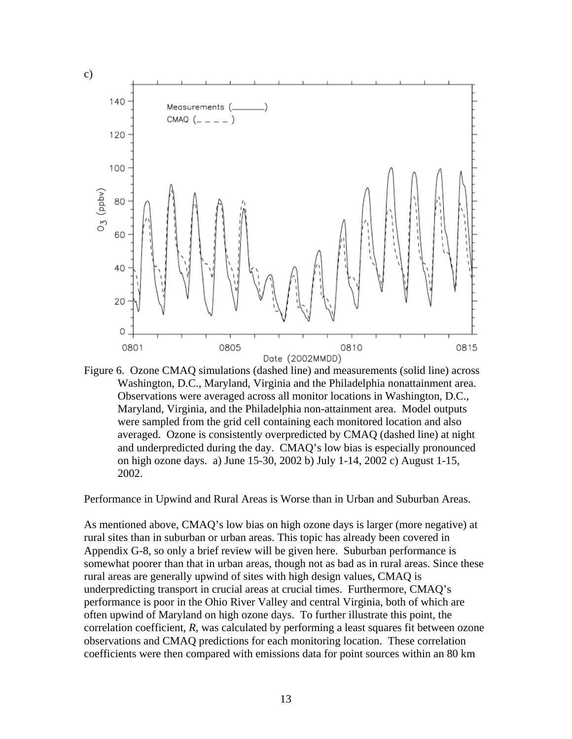

Figure 6. Ozone CMAQ simulations (dashed line) and measurements (solid line) across Washington, D.C., Maryland, Virginia and the Philadelphia nonattainment area. Observations were averaged across all monitor locations in Washington, D.C., Maryland, Virginia, and the Philadelphia non-attainment area. Model outputs were sampled from the grid cell containing each monitored location and also averaged. Ozone is consistently overpredicted by CMAQ (dashed line) at night and underpredicted during the day. CMAQ's low bias is especially pronounced on high ozone days. a) June 15-30, 2002 b) July 1-14, 2002 c) August 1-15, 2002.

Performance in Upwind and Rural Areas is Worse than in Urban and Suburban Areas.

As mentioned above, CMAQ's low bias on high ozone days is larger (more negative) at rural sites than in suburban or urban areas. This topic has already been covered in Appendix G-8, so only a brief review will be given here. Suburban performance is somewhat poorer than that in urban areas, though not as bad as in rural areas. Since these rural areas are generally upwind of sites with high design values, CMAQ is underpredicting transport in crucial areas at crucial times. Furthermore, CMAQ's performance is poor in the Ohio River Valley and central Virginia, both of which are often upwind of Maryland on high ozone days. To further illustrate this point, the correlation coefficient, *R*, was calculated by performing a least squares fit between ozone observations and CMAQ predictions for each monitoring location. These correlation coefficients were then compared with emissions data for point sources within an 80 km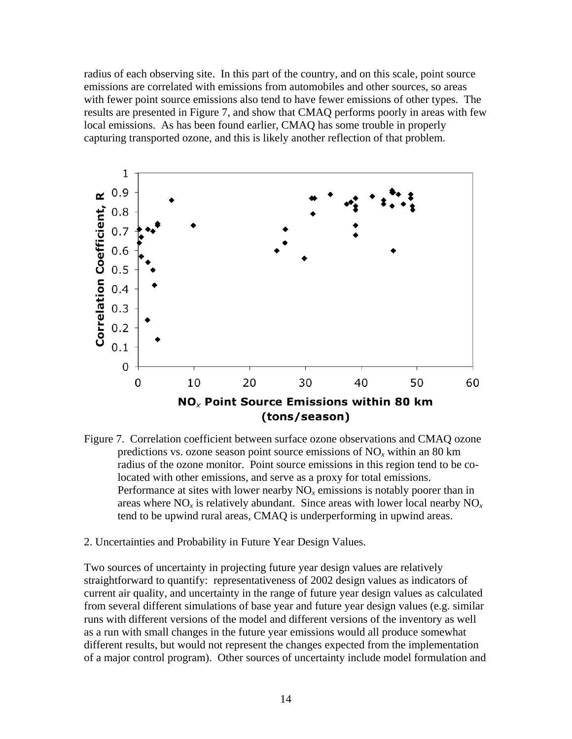radius of each observing site. In this part of the country, and on this scale, point source emissions are correlated with emissions from automobiles and other sources, so areas with fewer point source emissions also tend to have fewer emissions of other types. The results are presented in Figure 7, and show that CMAQ performs poorly in areas with few local emissions. As has been found earlier, CMAQ has some trouble in properly capturing transported ozone, and this is likely another reflection of that problem.



- Figure 7. Correlation coefficient between surface ozone observations and CMAQ ozone predictions vs. ozone season point source emissions of NO*x* within an 80 km radius of the ozone monitor. Point source emissions in this region tend to be colocated with other emissions, and serve as a proxy for total emissions. Performance at sites with lower nearby  $NO<sub>x</sub>$  emissions is notably poorer than in areas where  $NO_x$  is relatively abundant. Since areas with lower local nearby  $NO_x$ tend to be upwind rural areas, CMAQ is underperforming in upwind areas.
- 2. Uncertainties and Probability in Future Year Design Values.

Two sources of uncertainty in projecting future year design values are relatively straightforward to quantify: representativeness of 2002 design values as indicators of current air quality, and uncertainty in the range of future year design values as calculated from several different simulations of base year and future year design values (e.g. similar runs with different versions of the model and different versions of the inventory as well as a run with small changes in the future year emissions would all produce somewhat different results, but would not represent the changes expected from the implementation of a major control program). Other sources of uncertainty include model formulation and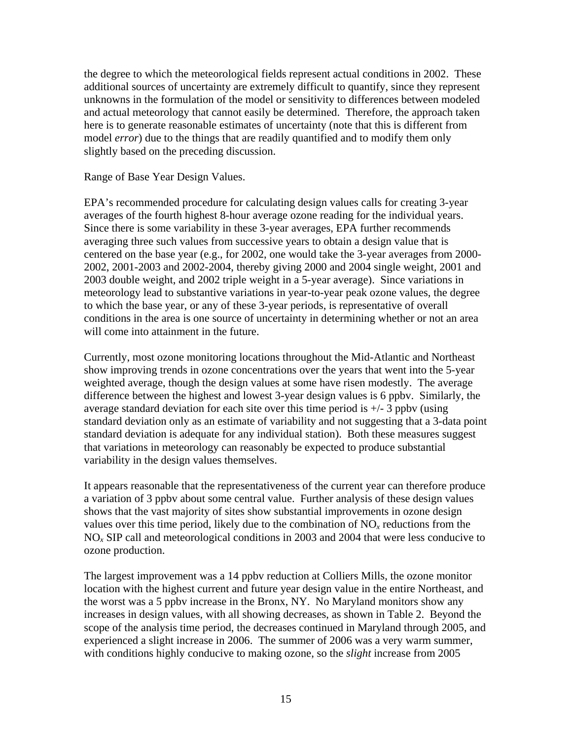the degree to which the meteorological fields represent actual conditions in 2002. These additional sources of uncertainty are extremely difficult to quantify, since they represent unknowns in the formulation of the model or sensitivity to differences between modeled and actual meteorology that cannot easily be determined. Therefore, the approach taken here is to generate reasonable estimates of uncertainty (note that this is different from model *error*) due to the things that are readily quantified and to modify them only slightly based on the preceding discussion.

Range of Base Year Design Values.

EPA's recommended procedure for calculating design values calls for creating 3-year averages of the fourth highest 8-hour average ozone reading for the individual years. Since there is some variability in these 3-year averages, EPA further recommends averaging three such values from successive years to obtain a design value that is centered on the base year (e.g., for 2002, one would take the 3-year averages from 2000- 2002, 2001-2003 and 2002-2004, thereby giving 2000 and 2004 single weight, 2001 and 2003 double weight, and 2002 triple weight in a 5-year average). Since variations in meteorology lead to substantive variations in year-to-year peak ozone values, the degree to which the base year, or any of these 3-year periods, is representative of overall conditions in the area is one source of uncertainty in determining whether or not an area will come into attainment in the future.

Currently, most ozone monitoring locations throughout the Mid-Atlantic and Northeast show improving trends in ozone concentrations over the years that went into the 5-year weighted average, though the design values at some have risen modestly. The average difference between the highest and lowest 3-year design values is 6 ppbv. Similarly, the average standard deviation for each site over this time period is  $+/-3$  ppby (using standard deviation only as an estimate of variability and not suggesting that a 3-data point standard deviation is adequate for any individual station). Both these measures suggest that variations in meteorology can reasonably be expected to produce substantial variability in the design values themselves.

It appears reasonable that the representativeness of the current year can therefore produce a variation of 3 ppbv about some central value. Further analysis of these design values shows that the vast majority of sites show substantial improvements in ozone design values over this time period, likely due to the combination of  $NO<sub>x</sub>$  reductions from the NO*x* SIP call and meteorological conditions in 2003 and 2004 that were less conducive to ozone production.

The largest improvement was a 14 ppbv reduction at Colliers Mills, the ozone monitor location with the highest current and future year design value in the entire Northeast, and the worst was a 5 ppbv increase in the Bronx, NY. No Maryland monitors show any increases in design values, with all showing decreases, as shown in Table 2. Beyond the scope of the analysis time period, the decreases continued in Maryland through 2005, and experienced a slight increase in 2006. The summer of 2006 was a very warm summer, with conditions highly conducive to making ozone, so the *slight* increase from 2005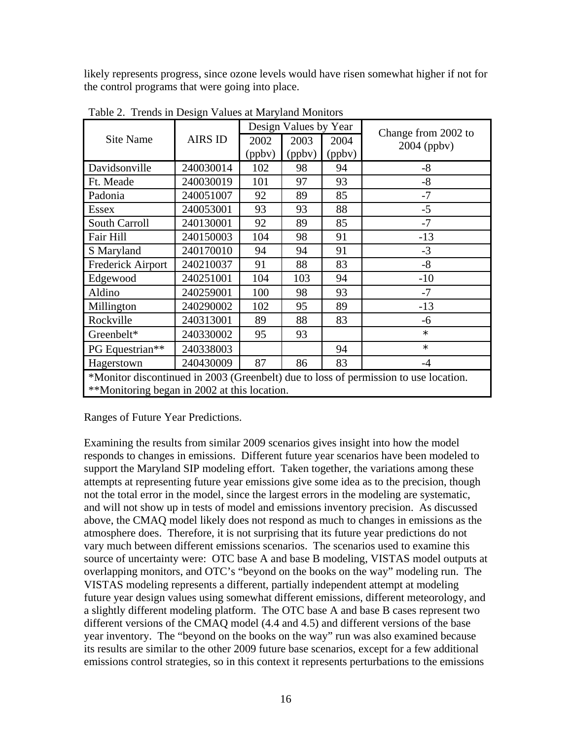likely represents progress, since ozone levels would have risen somewhat higher if not for the control programs that were going into place.

|                                                                                                                                      |                | Design Values by Year |        |        | Change from 2002 to |  |  |  |
|--------------------------------------------------------------------------------------------------------------------------------------|----------------|-----------------------|--------|--------|---------------------|--|--|--|
| <b>Site Name</b>                                                                                                                     | <b>AIRS ID</b> | 2002                  | 2003   | 2004   | $2004$ (ppbv)       |  |  |  |
|                                                                                                                                      |                | (ppbv)                | (ppbv) | (ppbv) |                     |  |  |  |
| Davidsonville                                                                                                                        | 240030014      | 102                   | 98     | 94     | $-8$                |  |  |  |
| Ft. Meade                                                                                                                            | 240030019      | 101                   | 97     | 93     | $-8$                |  |  |  |
| Padonia                                                                                                                              | 240051007      | 92                    | 89     | 85     | $-7$                |  |  |  |
| <b>Essex</b>                                                                                                                         | 240053001      | 93                    | 93     | 88     | $-5$                |  |  |  |
| South Carroll                                                                                                                        | 240130001      | 92                    | 89     | 85     | $-7$                |  |  |  |
| Fair Hill                                                                                                                            | 240150003      | 104                   | 98     | 91     | $-13$               |  |  |  |
| S Maryland                                                                                                                           | 240170010      | 94                    | 94     | 91     | $-3$                |  |  |  |
| Frederick Airport                                                                                                                    | 240210037      | 91                    | 88     | 83     | $-8$                |  |  |  |
| Edgewood                                                                                                                             | 240251001      | 104                   | 103    | 94     | $-10$               |  |  |  |
| Aldino                                                                                                                               | 240259001      | 100                   | 98     | 93     | $-7$                |  |  |  |
| Millington                                                                                                                           | 240290002      | 102                   | 95     | 89     | $-13$               |  |  |  |
| Rockville                                                                                                                            | 240313001      | 89                    | 88     | 83     | -6                  |  |  |  |
| Greenbelt*                                                                                                                           | 240330002      | 95                    | 93     |        | $\star$             |  |  |  |
| PG Equestrian**                                                                                                                      | 240338003      |                       |        | 94     | $\star$             |  |  |  |
| Hagerstown                                                                                                                           | 240430009      | 87                    | 86     | 83     | $-4$                |  |  |  |
| *Monitor discontinued in 2003 (Greenbelt) due to loss of permission to use location.<br>**Monitoring began in 2002 at this location. |                |                       |        |        |                     |  |  |  |

Table 2. Trends in Design Values at Maryland Monitors

Ranges of Future Year Predictions.

Examining the results from similar 2009 scenarios gives insight into how the model responds to changes in emissions. Different future year scenarios have been modeled to support the Maryland SIP modeling effort. Taken together, the variations among these attempts at representing future year emissions give some idea as to the precision, though not the total error in the model, since the largest errors in the modeling are systematic, and will not show up in tests of model and emissions inventory precision. As discussed above, the CMAQ model likely does not respond as much to changes in emissions as the atmosphere does. Therefore, it is not surprising that its future year predictions do not vary much between different emissions scenarios. The scenarios used to examine this source of uncertainty were: OTC base A and base B modeling, VISTAS model outputs at overlapping monitors, and OTC's "beyond on the books on the way" modeling run. The VISTAS modeling represents a different, partially independent attempt at modeling future year design values using somewhat different emissions, different meteorology, and a slightly different modeling platform. The OTC base A and base B cases represent two different versions of the CMAQ model (4.4 and 4.5) and different versions of the base year inventory. The "beyond on the books on the way" run was also examined because its results are similar to the other 2009 future base scenarios, except for a few additional emissions control strategies, so in this context it represents perturbations to the emissions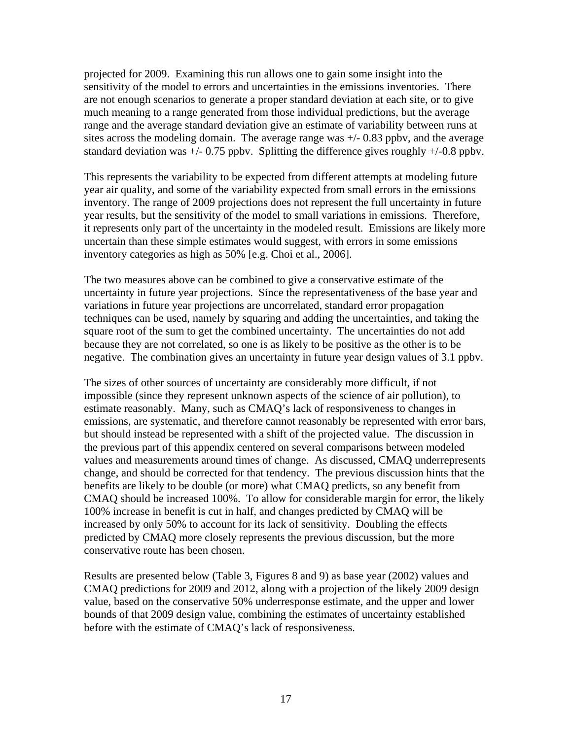projected for 2009. Examining this run allows one to gain some insight into the sensitivity of the model to errors and uncertainties in the emissions inventories. There are not enough scenarios to generate a proper standard deviation at each site, or to give much meaning to a range generated from those individual predictions, but the average range and the average standard deviation give an estimate of variability between runs at sites across the modeling domain. The average range was  $+/-0.83$  ppbv, and the average standard deviation was  $+/- 0.75$  ppbv. Splitting the difference gives roughly  $+/-0.8$  ppbv.

This represents the variability to be expected from different attempts at modeling future year air quality, and some of the variability expected from small errors in the emissions inventory. The range of 2009 projections does not represent the full uncertainty in future year results, but the sensitivity of the model to small variations in emissions. Therefore, it represents only part of the uncertainty in the modeled result. Emissions are likely more uncertain than these simple estimates would suggest, with errors in some emissions inventory categories as high as 50% [e.g. Choi et al., 2006].

The two measures above can be combined to give a conservative estimate of the uncertainty in future year projections. Since the representativeness of the base year and variations in future year projections are uncorrelated, standard error propagation techniques can be used, namely by squaring and adding the uncertainties, and taking the square root of the sum to get the combined uncertainty. The uncertainties do not add because they are not correlated, so one is as likely to be positive as the other is to be negative. The combination gives an uncertainty in future year design values of 3.1 ppbv.

The sizes of other sources of uncertainty are considerably more difficult, if not impossible (since they represent unknown aspects of the science of air pollution), to estimate reasonably. Many, such as CMAQ's lack of responsiveness to changes in emissions, are systematic, and therefore cannot reasonably be represented with error bars, but should instead be represented with a shift of the projected value. The discussion in the previous part of this appendix centered on several comparisons between modeled values and measurements around times of change. As discussed, CMAQ underrepresents change, and should be corrected for that tendency. The previous discussion hints that the benefits are likely to be double (or more) what CMAQ predicts, so any benefit from CMAQ should be increased 100%. To allow for considerable margin for error, the likely 100% increase in benefit is cut in half, and changes predicted by CMAQ will be increased by only 50% to account for its lack of sensitivity. Doubling the effects predicted by CMAQ more closely represents the previous discussion, but the more conservative route has been chosen.

Results are presented below (Table 3, Figures 8 and 9) as base year (2002) values and CMAQ predictions for 2009 and 2012, along with a projection of the likely 2009 design value, based on the conservative 50% underresponse estimate, and the upper and lower bounds of that 2009 design value, combining the estimates of uncertainty established before with the estimate of CMAQ's lack of responsiveness.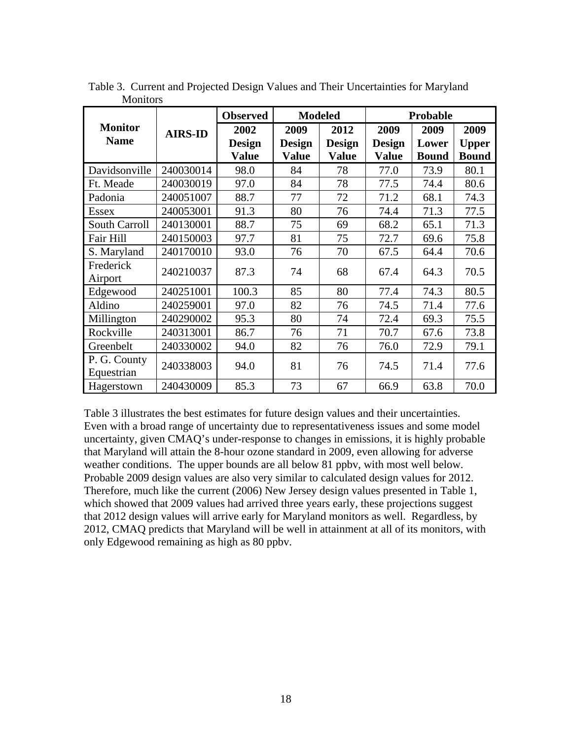| <b>Monitor</b><br><b>Name</b> | <b>AIRS-ID</b> | <b>Observed</b>       | <b>Modeled</b>        |                       | Probable              |               |                      |
|-------------------------------|----------------|-----------------------|-----------------------|-----------------------|-----------------------|---------------|----------------------|
|                               |                | 2002<br><b>Design</b> | 2009<br><b>Design</b> | 2012<br><b>Design</b> | 2009<br><b>Design</b> | 2009<br>Lower | 2009<br><b>Upper</b> |
|                               |                | <b>Value</b>          | <b>Value</b>          | <b>Value</b>          | <b>Value</b>          | <b>Bound</b>  | <b>Bound</b>         |
| Davidsonville                 | 240030014      | 98.0                  | 84                    | 78                    | 77.0                  | 73.9          | 80.1                 |
| Ft. Meade                     | 240030019      | 97.0                  | 84                    | 78                    | 77.5                  | 74.4          | 80.6                 |
| Padonia                       | 240051007      | 88.7                  | 77                    | 72                    | 71.2                  | 68.1          | 74.3                 |
| <b>Essex</b>                  | 240053001      | 91.3                  | 80                    | 76                    | 74.4                  | 71.3          | 77.5                 |
| <b>South Carroll</b>          | 240130001      | 88.7                  | 75                    | 69                    | 68.2                  | 65.1          | 71.3                 |
| Fair Hill                     | 240150003      | 97.7                  | 81                    | 75                    | 72.7                  | 69.6          | 75.8                 |
| S. Maryland                   | 240170010      | 93.0                  | 76                    | 70                    | 67.5                  | 64.4          | 70.6                 |
| Frederick<br>Airport          | 240210037      | 87.3                  | 74                    | 68                    | 67.4                  | 64.3          | 70.5                 |
| Edgewood                      | 240251001      | 100.3                 | 85                    | 80                    | 77.4                  | 74.3          | 80.5                 |
| Aldino                        | 240259001      | 97.0                  | 82                    | 76                    | 74.5                  | 71.4          | 77.6                 |
| Millington                    | 240290002      | 95.3                  | 80                    | 74                    | 72.4                  | 69.3          | 75.5                 |
| Rockville                     | 240313001      | 86.7                  | 76                    | 71                    | 70.7                  | 67.6          | 73.8                 |
| Greenbelt                     | 240330002      | 94.0                  | 82                    | 76                    | 76.0                  | 72.9          | 79.1                 |
| P. G. County<br>Equestrian    | 240338003      | 94.0                  | 81                    | 76                    | 74.5                  | 71.4          | 77.6                 |
| Hagerstown                    | 240430009      | 85.3                  | 73                    | 67                    | 66.9                  | 63.8          | 70.0                 |

Table 3. Current and Projected Design Values and Their Uncertainties for Maryland Monitors

Table 3 illustrates the best estimates for future design values and their uncertainties. Even with a broad range of uncertainty due to representativeness issues and some model uncertainty, given CMAQ's under-response to changes in emissions, it is highly probable that Maryland will attain the 8-hour ozone standard in 2009, even allowing for adverse weather conditions. The upper bounds are all below 81 ppbv, with most well below. Probable 2009 design values are also very similar to calculated design values for 2012. Therefore, much like the current (2006) New Jersey design values presented in Table 1, which showed that 2009 values had arrived three years early, these projections suggest that 2012 design values will arrive early for Maryland monitors as well. Regardless, by 2012, CMAQ predicts that Maryland will be well in attainment at all of its monitors, with only Edgewood remaining as high as 80 ppbv.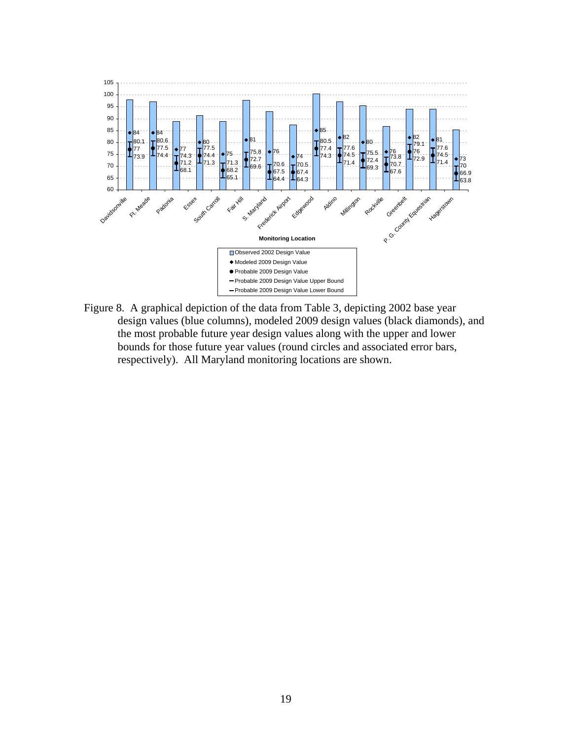

Figure 8. A graphical depiction of the data from Table 3, depicting 2002 base year design values (blue columns), modeled 2009 design values (black diamonds), and the most probable future year design values along with the upper and lower bounds for those future year values (round circles and associated error bars, respectively). All Maryland monitoring locations are shown.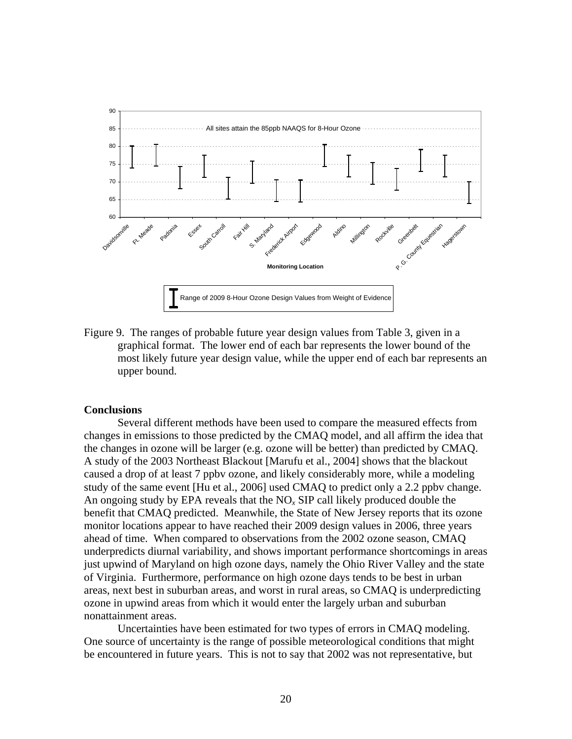

Figure 9. The ranges of probable future year design values from Table 3, given in a graphical format. The lower end of each bar represents the lower bound of the most likely future year design value, while the upper end of each bar represents an upper bound.

### **Conclusions**

Several different methods have been used to compare the measured effects from changes in emissions to those predicted by the CMAQ model, and all affirm the idea that the changes in ozone will be larger (e.g. ozone will be better) than predicted by CMAQ. A study of the 2003 Northeast Blackout [Marufu et al., 2004] shows that the blackout caused a drop of at least 7 ppbv ozone, and likely considerably more, while a modeling study of the same event [Hu et al., 2006] used CMAQ to predict only a 2.2 ppbv change. An ongoing study by EPA reveals that the NO*x* SIP call likely produced double the benefit that CMAQ predicted. Meanwhile, the State of New Jersey reports that its ozone monitor locations appear to have reached their 2009 design values in 2006, three years ahead of time. When compared to observations from the 2002 ozone season, CMAQ underpredicts diurnal variability, and shows important performance shortcomings in areas just upwind of Maryland on high ozone days, namely the Ohio River Valley and the state of Virginia. Furthermore, performance on high ozone days tends to be best in urban areas, next best in suburban areas, and worst in rural areas, so CMAQ is underpredicting ozone in upwind areas from which it would enter the largely urban and suburban nonattainment areas.

Uncertainties have been estimated for two types of errors in CMAQ modeling. One source of uncertainty is the range of possible meteorological conditions that might be encountered in future years. This is not to say that 2002 was not representative, but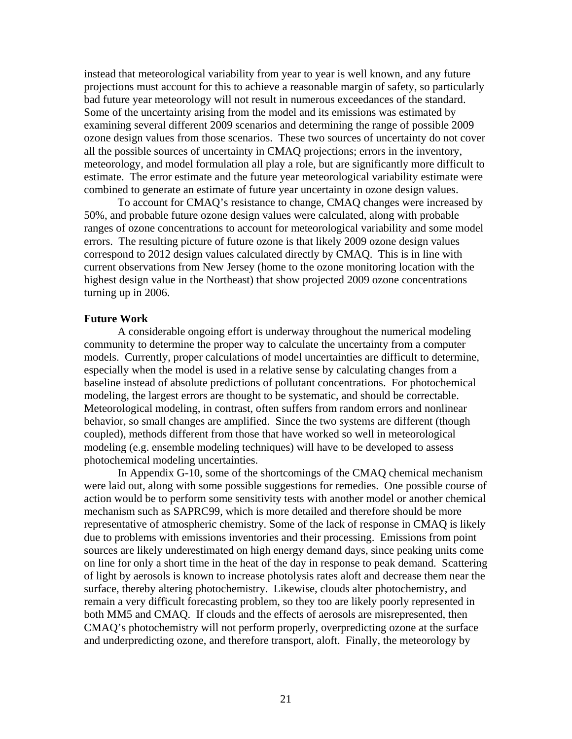instead that meteorological variability from year to year is well known, and any future projections must account for this to achieve a reasonable margin of safety, so particularly bad future year meteorology will not result in numerous exceedances of the standard. Some of the uncertainty arising from the model and its emissions was estimated by examining several different 2009 scenarios and determining the range of possible 2009 ozone design values from those scenarios. These two sources of uncertainty do not cover all the possible sources of uncertainty in CMAQ projections; errors in the inventory, meteorology, and model formulation all play a role, but are significantly more difficult to estimate. The error estimate and the future year meteorological variability estimate were combined to generate an estimate of future year uncertainty in ozone design values.

To account for CMAQ's resistance to change, CMAQ changes were increased by 50%, and probable future ozone design values were calculated, along with probable ranges of ozone concentrations to account for meteorological variability and some model errors. The resulting picture of future ozone is that likely 2009 ozone design values correspond to 2012 design values calculated directly by CMAQ. This is in line with current observations from New Jersey (home to the ozone monitoring location with the highest design value in the Northeast) that show projected 2009 ozone concentrations turning up in 2006.

### **Future Work**

A considerable ongoing effort is underway throughout the numerical modeling community to determine the proper way to calculate the uncertainty from a computer models. Currently, proper calculations of model uncertainties are difficult to determine, especially when the model is used in a relative sense by calculating changes from a baseline instead of absolute predictions of pollutant concentrations. For photochemical modeling, the largest errors are thought to be systematic, and should be correctable. Meteorological modeling, in contrast, often suffers from random errors and nonlinear behavior, so small changes are amplified. Since the two systems are different (though coupled), methods different from those that have worked so well in meteorological modeling (e.g. ensemble modeling techniques) will have to be developed to assess photochemical modeling uncertainties.

In Appendix G-10, some of the shortcomings of the CMAQ chemical mechanism were laid out, along with some possible suggestions for remedies. One possible course of action would be to perform some sensitivity tests with another model or another chemical mechanism such as SAPRC99, which is more detailed and therefore should be more representative of atmospheric chemistry. Some of the lack of response in CMAQ is likely due to problems with emissions inventories and their processing. Emissions from point sources are likely underestimated on high energy demand days, since peaking units come on line for only a short time in the heat of the day in response to peak demand. Scattering of light by aerosols is known to increase photolysis rates aloft and decrease them near the surface, thereby altering photochemistry. Likewise, clouds alter photochemistry, and remain a very difficult forecasting problem, so they too are likely poorly represented in both MM5 and CMAQ. If clouds and the effects of aerosols are misrepresented, then CMAQ's photochemistry will not perform properly, overpredicting ozone at the surface and underpredicting ozone, and therefore transport, aloft. Finally, the meteorology by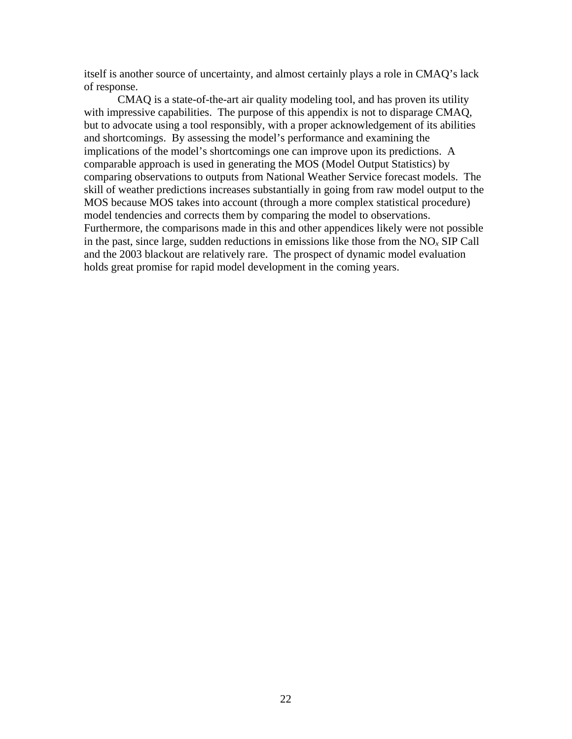itself is another source of uncertainty, and almost certainly plays a role in CMAQ's lack of response.

CMAQ is a state-of-the-art air quality modeling tool, and has proven its utility with impressive capabilities. The purpose of this appendix is not to disparage CMAQ, but to advocate using a tool responsibly, with a proper acknowledgement of its abilities and shortcomings. By assessing the model's performance and examining the implications of the model's shortcomings one can improve upon its predictions. A comparable approach is used in generating the MOS (Model Output Statistics) by comparing observations to outputs from National Weather Service forecast models. The skill of weather predictions increases substantially in going from raw model output to the MOS because MOS takes into account (through a more complex statistical procedure) model tendencies and corrects them by comparing the model to observations. Furthermore, the comparisons made in this and other appendices likely were not possible in the past, since large, sudden reductions in emissions like those from the  $NO<sub>x</sub>$  SIP Call and the 2003 blackout are relatively rare. The prospect of dynamic model evaluation holds great promise for rapid model development in the coming years.